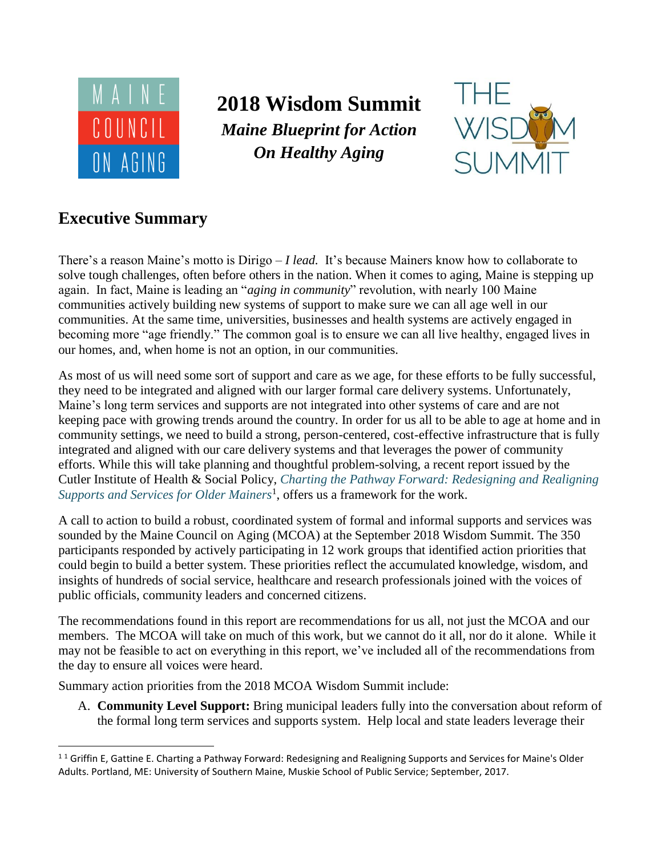

# **2018 Wisdom Summit** *Maine Blueprint for Action On Healthy Aging*



# **Executive Summary**

l

There's a reason Maine's motto is Dirigo – *I lead.* It's because Mainers know how to collaborate to solve tough challenges, often before others in the nation. When it comes to aging, Maine is stepping up again. In fact, Maine is leading an "*aging in community*" revolution, with nearly 100 Maine communities actively building new systems of support to make sure we can all age well in our communities. At the same time, universities, businesses and health systems are actively engaged in becoming more "age friendly." The common goal is to ensure we can all live healthy, engaged lives in our homes, and, when home is not an option, in our communities.

As most of us will need some sort of support and care as we age, for these efforts to be fully successful, they need to be integrated and aligned with our larger formal care delivery systems. Unfortunately, Maine's long term services and supports are not integrated into other systems of care and are not keeping pace with growing trends around the country. In order for us all to be able to age at home and in community settings, we need to build a strong, person-centered, cost-effective infrastructure that is fully integrated and aligned with our care delivery systems and that leverages the power of community efforts. While this will take planning and thoughtful problem-solving, a recent report issued by the Cutler Institute of Health & Social Policy, *[Charting the Pathway Forward: Redesigning and Realigning](http://digitalcommons.usm.maine.edu/cgi/viewcontent.cgi?article=1108&context=aging)  [Supports and Services for Older Mainers](http://digitalcommons.usm.maine.edu/cgi/viewcontent.cgi?article=1108&context=aging)*<sup>1</sup> , offers us a framework for the work.

A call to action to build a robust, coordinated system of formal and informal supports and services was sounded by the Maine Council on Aging (MCOA) at the September 2018 Wisdom Summit. The 350 participants responded by actively participating in 12 work groups that identified action priorities that could begin to build a better system. These priorities reflect the accumulated knowledge, wisdom, and insights of hundreds of social service, healthcare and research professionals joined with the voices of public officials, community leaders and concerned citizens.

The recommendations found in this report are recommendations for us all, not just the MCOA and our members. The MCOA will take on much of this work, but we cannot do it all, nor do it alone. While it may not be feasible to act on everything in this report, we've included all of the recommendations from the day to ensure all voices were heard.

Summary action priorities from the 2018 MCOA Wisdom Summit include:

A. **Community Level Support:** Bring municipal leaders fully into the conversation about reform of the formal long term services and supports system. Help local and state leaders leverage their

 $11$  Griffin E, Gattine E. Charting a Pathway Forward: Redesigning and Realigning Supports and Services for Maine's Older Adults. Portland, ME: University of Southern Maine, Muskie School of Public Service; September, 2017.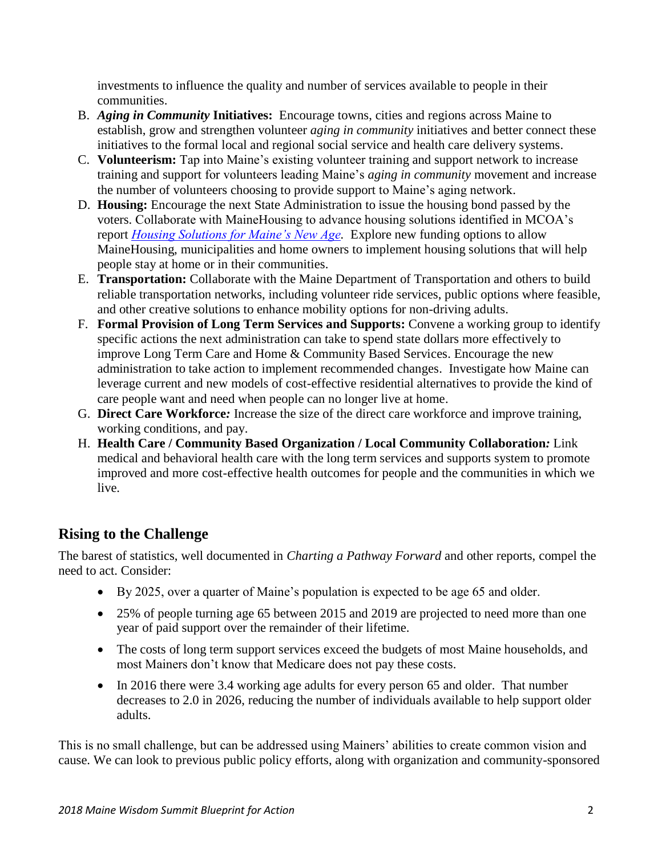investments to influence the quality and number of services available to people in their communities.

- B. *Aging in Community* **Initiatives:** Encourage towns, cities and regions across Maine to establish, grow and strengthen volunteer *aging in community* initiatives and better connect these initiatives to the formal local and regional social service and health care delivery systems.
- C. **Volunteerism:** Tap into Maine's existing volunteer training and support network to increase training and support for volunteers leading Maine's *aging in community* movement and increase the number of volunteers choosing to provide support to Maine's aging network.
- D. **Housing:** Encourage the next State Administration to issue the housing bond passed by the voters. Collaborate with MaineHousing to advance housing solutions identified in MCOA's report *[Housing Solutions for Maine's New Age.](http://mainecouncilonaging.org/wp-content/uploads/2016/11/Housing-Solutions-for-Maines-New-Age-Final-Report-1.pdf)* Explore new funding options to allow MaineHousing, municipalities and home owners to implement housing solutions that will help people stay at home or in their communities.
- E. **Transportation:** Collaborate with the Maine Department of Transportation and others to build reliable transportation networks, including volunteer ride services, public options where feasible, and other creative solutions to enhance mobility options for non-driving adults.
- F. **Formal Provision of Long Term Services and Supports:** Convene a working group to identify specific actions the next administration can take to spend state dollars more effectively to improve Long Term Care and Home & Community Based Services. Encourage the new administration to take action to implement recommended changes. Investigate how Maine can leverage current and new models of cost-effective residential alternatives to provide the kind of care people want and need when people can no longer live at home.
- G. **Direct Care Workforce***:* Increase the size of the direct care workforce and improve training, working conditions, and pay.
- H. **Health Care / Community Based Organization / Local Community Collaboration***:* Link medical and behavioral health care with the long term services and supports system to promote improved and more cost-effective health outcomes for people and the communities in which we live.

# **Rising to the Challenge**

The barest of statistics, well documented in *Charting a Pathway Forward* and other reports, compel the need to act. Consider:

- By 2025, over a quarter of Maine's population is expected to be age 65 and older.
- 25% of people turning age 65 between 2015 and 2019 are projected to need more than one year of paid support over the remainder of their lifetime.
- The costs of long term support services exceed the budgets of most Maine households, and most Mainers don't know that Medicare does not pay these costs.
- In 2016 there were 3.4 working age adults for every person 65 and older. That number decreases to 2.0 in 2026, reducing the number of individuals available to help support older adults.

This is no small challenge, but can be addressed using Mainers' abilities to create common vision and cause. We can look to previous public policy efforts, along with organization and community-sponsored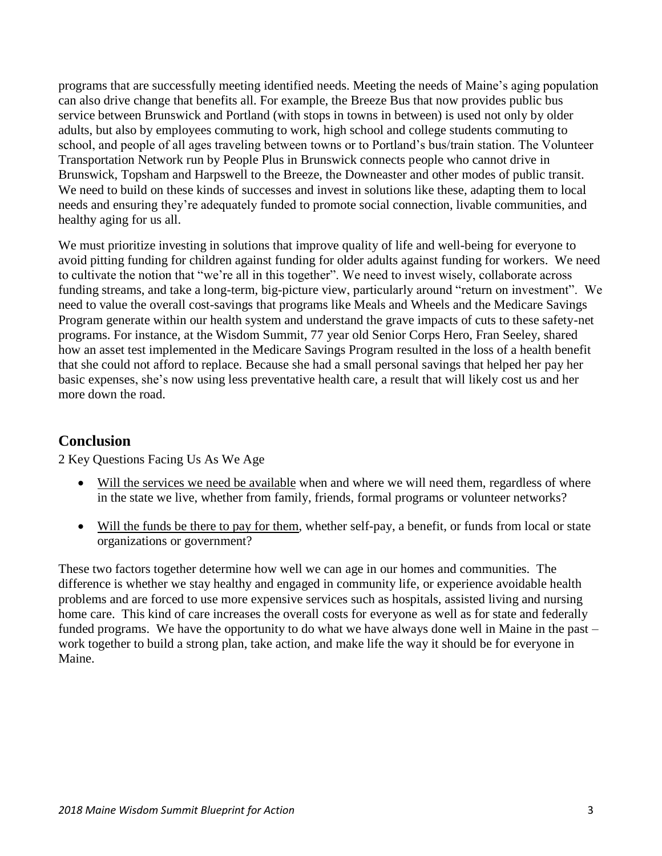programs that are successfully meeting identified needs. Meeting the needs of Maine's aging population can also drive change that benefits all. For example, the Breeze Bus that now provides public bus service between Brunswick and Portland (with stops in towns in between) is used not only by older adults, but also by employees commuting to work, high school and college students commuting to school, and people of all ages traveling between towns or to Portland's bus/train station. The Volunteer Transportation Network run by People Plus in Brunswick connects people who cannot drive in Brunswick, Topsham and Harpswell to the Breeze, the Downeaster and other modes of public transit. We need to build on these kinds of successes and invest in solutions like these, adapting them to local needs and ensuring they're adequately funded to promote social connection, livable communities, and healthy aging for us all.

We must prioritize investing in solutions that improve quality of life and well-being for everyone to avoid pitting funding for children against funding for older adults against funding for workers. We need to cultivate the notion that "we're all in this together". We need to invest wisely, collaborate across funding streams, and take a long-term, big-picture view, particularly around "return on investment". We need to value the overall cost-savings that programs like Meals and Wheels and the Medicare Savings Program generate within our health system and understand the grave impacts of cuts to these safety-net programs. For instance, at the Wisdom Summit, 77 year old Senior Corps Hero, Fran Seeley, shared how an asset test implemented in the Medicare Savings Program resulted in the loss of a health benefit that she could not afford to replace. Because she had a small personal savings that helped her pay her basic expenses, she's now using less preventative health care, a result that will likely cost us and her more down the road.

# **Conclusion**

2 Key Questions Facing Us As We Age

- Will the services we need be available when and where we will need them, regardless of where in the state we live, whether from family, friends, formal programs or volunteer networks?
- Will the funds be there to pay for them, whether self-pay, a benefit, or funds from local or state organizations or government?

These two factors together determine how well we can age in our homes and communities. The difference is whether we stay healthy and engaged in community life, or experience avoidable health problems and are forced to use more expensive services such as hospitals, assisted living and nursing home care. This kind of care increases the overall costs for everyone as well as for state and federally funded programs. We have the opportunity to do what we have always done well in Maine in the past – work together to build a strong plan, take action, and make life the way it should be for everyone in Maine.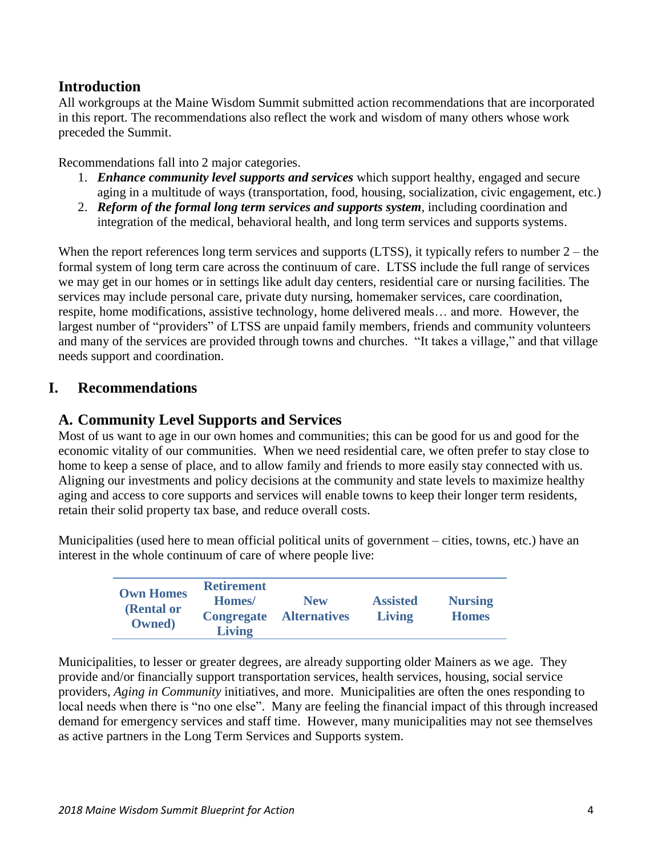# **Introduction**

All workgroups at the Maine Wisdom Summit submitted action recommendations that are incorporated in this report. The recommendations also reflect the work and wisdom of many others whose work preceded the Summit.

Recommendations fall into 2 major categories.

- 1. *Enhance community level supports and services* which support healthy, engaged and secure aging in a multitude of ways (transportation, food, housing, socialization, civic engagement, etc.)
- 2. *Reform of the formal long term services and supports system*, including coordination and integration of the medical, behavioral health, and long term services and supports systems.

When the report references long term services and supports  $(LTSS)$ , it typically refers to number  $2$  – the formal system of long term care across the continuum of care. LTSS include the full range of services we may get in our homes or in settings like adult day centers, residential care or nursing facilities. The services may include personal care, private duty nursing, homemaker services, care coordination, respite, home modifications, assistive technology, home delivered meals… and more. However, the largest number of "providers" of LTSS are unpaid family members, friends and community volunteers and many of the services are provided through towns and churches. "It takes a village," and that village needs support and coordination.

## **I. Recommendations**

## **A. Community Level Supports and Services**

Most of us want to age in our own homes and communities; this can be good for us and good for the economic vitality of our communities. When we need residential care, we often prefer to stay close to home to keep a sense of place, and to allow family and friends to more easily stay connected with us. Aligning our investments and policy decisions at the community and state levels to maximize healthy aging and access to core supports and services will enable towns to keep their longer term residents, retain their solid property tax base, and reduce overall costs.

Municipalities (used here to mean official political units of government – cities, towns, etc.) have an interest in the whole continuum of care of where people live:

| <b>Own Homes</b><br>(Rental or<br>Owned) | <b>Retirement</b><br>Homes/<br><b>Congregate</b><br><b>Living</b> | <b>New</b><br><b>Alternatives</b> | <b>Assisted</b><br><b>Living</b> | <b>Nursing</b><br><b>Homes</b> |
|------------------------------------------|-------------------------------------------------------------------|-----------------------------------|----------------------------------|--------------------------------|
|------------------------------------------|-------------------------------------------------------------------|-----------------------------------|----------------------------------|--------------------------------|

Municipalities, to lesser or greater degrees, are already supporting older Mainers as we age. They provide and/or financially support transportation services, health services, housing, social service providers, *Aging in Community* initiatives, and more. Municipalities are often the ones responding to local needs when there is "no one else". Many are feeling the financial impact of this through increased demand for emergency services and staff time. However, many municipalities may not see themselves as active partners in the Long Term Services and Supports system.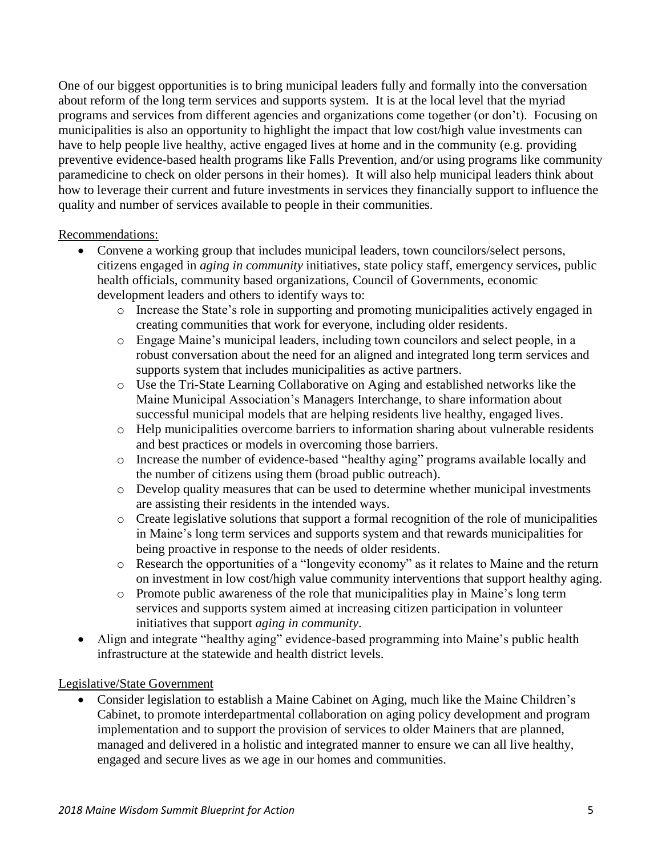One of our biggest opportunities is to bring municipal leaders fully and formally into the conversation about reform of the long term services and supports system. It is at the local level that the myriad programs and services from different agencies and organizations come together (or don't). Focusing on municipalities is also an opportunity to highlight the impact that low cost/high value investments can have to help people live healthy, active engaged lives at home and in the community (e.g. providing preventive evidence-based health programs like Falls Prevention, and/or using programs like community paramedicine to check on older persons in their homes). It will also help municipal leaders think about how to leverage their current and future investments in services they financially support to influence the quality and number of services available to people in their communities.

Recommendations:

- Convene a working group that includes municipal leaders, town councilors/select persons, citizens engaged in *aging in community* initiatives, state policy staff, emergency services, public health officials, community based organizations, Council of Governments, economic development leaders and others to identify ways to:
	- o Increase the State's role in supporting and promoting municipalities actively engaged in creating communities that work for everyone, including older residents.
	- o Engage Maine's municipal leaders, including town councilors and select people, in a robust conversation about the need for an aligned and integrated long term services and supports system that includes municipalities as active partners.
	- o Use the Tri-State Learning Collaborative on Aging and established networks like the Maine Municipal Association's Managers Interchange, to share information about successful municipal models that are helping residents live healthy, engaged lives.
	- o Help municipalities overcome barriers to information sharing about vulnerable residents and best practices or models in overcoming those barriers.
	- o Increase the number of evidence-based "healthy aging" programs available locally and the number of citizens using them (broad public outreach).
	- o Develop quality measures that can be used to determine whether municipal investments are assisting their residents in the intended ways.
	- o Create legislative solutions that support a formal recognition of the role of municipalities in Maine's long term services and supports system and that rewards municipalities for being proactive in response to the needs of older residents.
	- o Research the opportunities of a "longevity economy" as it relates to Maine and the return on investment in low cost/high value community interventions that support healthy aging.
	- o Promote public awareness of the role that municipalities play in Maine's long term services and supports system aimed at increasing citizen participation in volunteer initiatives that support *aging in community*.
- Align and integrate "healthy aging" evidence-based programming into Maine's public health infrastructure at the statewide and health district levels.

## Legislative/State Government

 Consider legislation to establish a Maine Cabinet on Aging, much like the Maine Children's Cabinet, to promote interdepartmental collaboration on aging policy development and program implementation and to support the provision of services to older Mainers that are planned, managed and delivered in a holistic and integrated manner to ensure we can all live healthy, engaged and secure lives as we age in our homes and communities.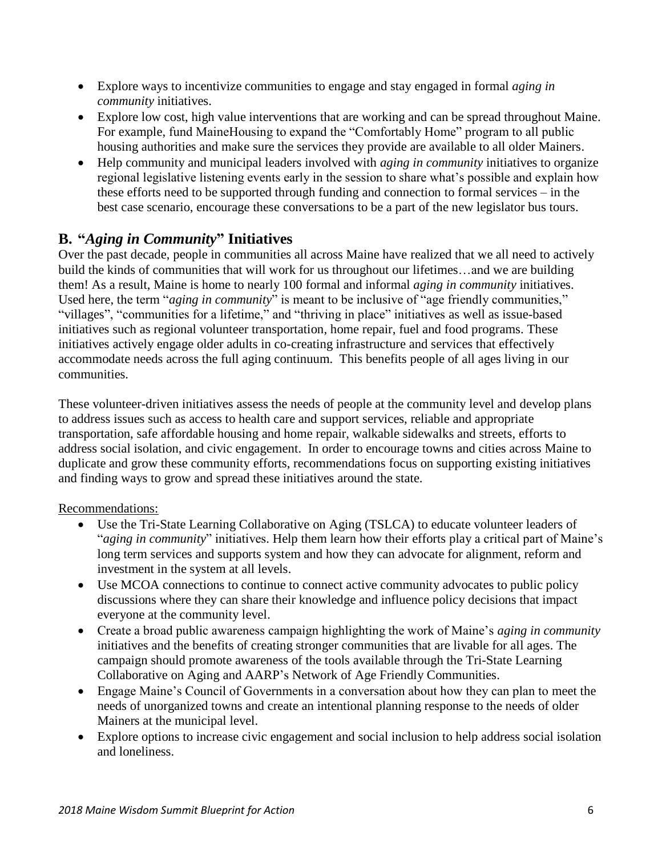- Explore ways to incentivize communities to engage and stay engaged in formal *aging in community* initiatives.
- Explore low cost, high value interventions that are working and can be spread throughout Maine. For example, fund MaineHousing to expand the "Comfortably Home" program to all public housing authorities and make sure the services they provide are available to all older Mainers.
- Help community and municipal leaders involved with *aging in community* initiatives to organize regional legislative listening events early in the session to share what's possible and explain how these efforts need to be supported through funding and connection to formal services – in the best case scenario, encourage these conversations to be a part of the new legislator bus tours.

# **B. "***Aging in Community***" Initiatives**

Over the past decade, people in communities all across Maine have realized that we all need to actively build the kinds of communities that will work for us throughout our lifetimes…and we are building them! As a result, Maine is home to nearly 100 formal and informal *aging in community* initiatives. Used here, the term "*aging in community*" is meant to be inclusive of "age friendly communities," "villages", "communities for a lifetime," and "thriving in place" initiatives as well as issue-based initiatives such as regional volunteer transportation, home repair, fuel and food programs. These initiatives actively engage older adults in co-creating infrastructure and services that effectively accommodate needs across the full aging continuum. This benefits people of all ages living in our communities.

These volunteer-driven initiatives assess the needs of people at the community level and develop plans to address issues such as access to health care and support services, reliable and appropriate transportation, safe affordable housing and home repair, walkable sidewalks and streets, efforts to address social isolation, and civic engagement. In order to encourage towns and cities across Maine to duplicate and grow these community efforts, recommendations focus on supporting existing initiatives and finding ways to grow and spread these initiatives around the state.

## Recommendations:

- Use the Tri-State Learning Collaborative on Aging (TSLCA) to educate volunteer leaders of "*aging in community*" initiatives. Help them learn how their efforts play a critical part of Maine's long term services and supports system and how they can advocate for alignment, reform and investment in the system at all levels.
- Use MCOA connections to continue to connect active community advocates to public policy discussions where they can share their knowledge and influence policy decisions that impact everyone at the community level.
- Create a broad public awareness campaign highlighting the work of Maine's *aging in community* initiatives and the benefits of creating stronger communities that are livable for all ages. The campaign should promote awareness of the tools available through the Tri-State Learning Collaborative on Aging and AARP's Network of Age Friendly Communities.
- Engage Maine's Council of Governments in a conversation about how they can plan to meet the needs of unorganized towns and create an intentional planning response to the needs of older Mainers at the municipal level.
- Explore options to increase civic engagement and social inclusion to help address social isolation and loneliness.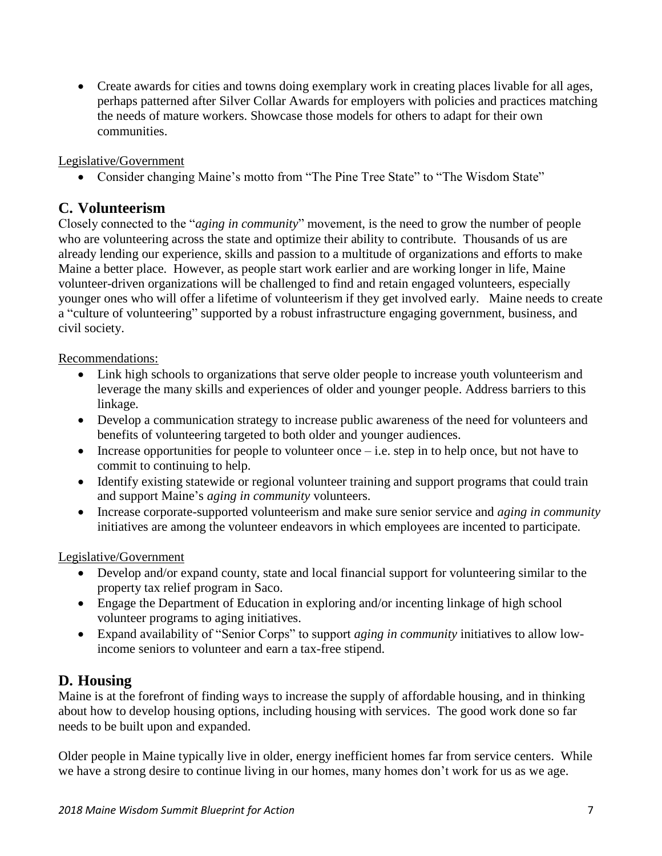Create awards for cities and towns doing exemplary work in creating places livable for all ages, perhaps patterned after Silver Collar Awards for employers with policies and practices matching the needs of mature workers. Showcase those models for others to adapt for their own communities.

## Legislative/Government

• Consider changing Maine's motto from "The Pine Tree State" to "The Wisdom State"

## **C. Volunteerism**

Closely connected to the "*aging in community*" movement, is the need to grow the number of people who are volunteering across the state and optimize their ability to contribute. Thousands of us are already lending our experience, skills and passion to a multitude of organizations and efforts to make Maine a better place. However, as people start work earlier and are working longer in life, Maine volunteer-driven organizations will be challenged to find and retain engaged volunteers, especially younger ones who will offer a lifetime of volunteerism if they get involved early. Maine needs to create a "culture of volunteering" supported by a robust infrastructure engaging government, business, and civil society.

#### Recommendations:

- Link high schools to organizations that serve older people to increase youth volunteerism and leverage the many skills and experiences of older and younger people. Address barriers to this linkage.
- Develop a communication strategy to increase public awareness of the need for volunteers and benefits of volunteering targeted to both older and younger audiences.
- $\bullet$  Increase opportunities for people to volunteer once i.e. step in to help once, but not have to commit to continuing to help.
- Identify existing statewide or regional volunteer training and support programs that could train and support Maine's *aging in community* volunteers.
- Increase corporate-supported volunteerism and make sure senior service and *aging in community* initiatives are among the volunteer endeavors in which employees are incented to participate.

## Legislative/Government

- Develop and/or expand county, state and local financial support for volunteering similar to the property tax relief program in Saco.
- Engage the Department of Education in exploring and/or incenting linkage of high school volunteer programs to aging initiatives.
- Expand availability of "Senior Corps" to support *aging in community* initiatives to allow lowincome seniors to volunteer and earn a tax-free stipend.

## **D. Housing**

Maine is at the forefront of finding ways to increase the supply of affordable housing, and in thinking about how to develop housing options, including housing with services. The good work done so far needs to be built upon and expanded.

Older people in Maine typically live in older, energy inefficient homes far from service centers. While we have a strong desire to continue living in our homes, many homes don't work for us as we age.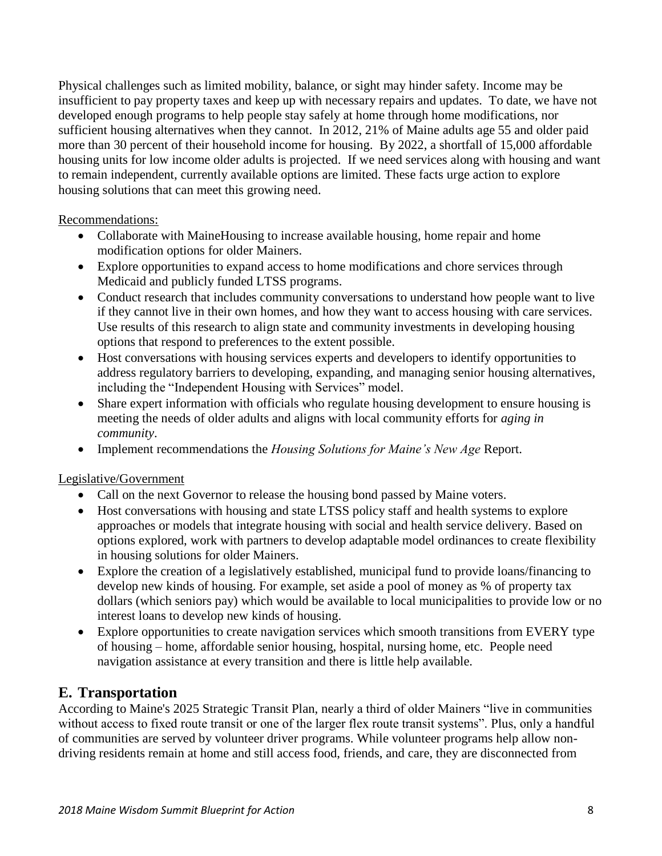Physical challenges such as limited mobility, balance, or sight may hinder safety. Income may be insufficient to pay property taxes and keep up with necessary repairs and updates. To date, we have not developed enough programs to help people stay safely at home through home modifications, nor sufficient housing alternatives when they cannot. In 2012, 21% of Maine adults age 55 and older paid more than 30 percent of their household income for housing. By 2022, a shortfall of 15,000 affordable housing units for low income older adults is projected. If we need services along with housing and want to remain independent, currently available options are limited. These facts urge action to explore housing solutions that can meet this growing need.

Recommendations:

- Collaborate with MaineHousing to increase available housing, home repair and home modification options for older Mainers.
- Explore opportunities to expand access to home modifications and chore services through Medicaid and publicly funded LTSS programs.
- Conduct research that includes community conversations to understand how people want to live if they cannot live in their own homes, and how they want to access housing with care services. Use results of this research to align state and community investments in developing housing options that respond to preferences to the extent possible.
- Host conversations with housing services experts and developers to identify opportunities to address regulatory barriers to developing, expanding, and managing senior housing alternatives, including the "Independent Housing with Services" model.
- Share expert information with officials who regulate housing development to ensure housing is meeting the needs of older adults and aligns with local community efforts for *aging in community*.
- Implement recommendations the *Housing Solutions for Maine's New Age* Report.

Legislative/Government

- Call on the next Governor to release the housing bond passed by Maine voters.
- Host conversations with housing and state LTSS policy staff and health systems to explore approaches or models that integrate housing with social and health service delivery. Based on options explored, work with partners to develop adaptable model ordinances to create flexibility in housing solutions for older Mainers.
- Explore the creation of a legislatively established, municipal fund to provide loans/financing to develop new kinds of housing. For example, set aside a pool of money as % of property tax dollars (which seniors pay) which would be available to local municipalities to provide low or no interest loans to develop new kinds of housing.
- Explore opportunities to create navigation services which smooth transitions from EVERY type of housing – home, affordable senior housing, hospital, nursing home, etc. People need navigation assistance at every transition and there is little help available.

# **E. Transportation**

According to Maine's 2025 Strategic Transit Plan, nearly a third of older Mainers "live in communities without access to fixed route transit or one of the larger flex route transit systems". Plus, only a handful of communities are served by volunteer driver programs. While volunteer programs help allow nondriving residents remain at home and still access food, friends, and care, they are disconnected from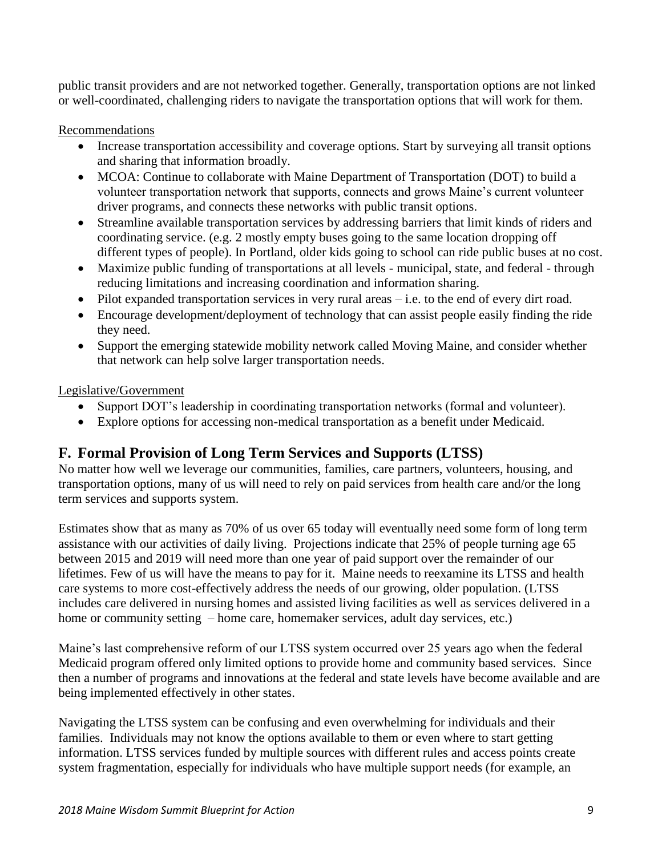public transit providers and are not networked together. Generally, transportation options are not linked or well-coordinated, challenging riders to navigate the transportation options that will work for them.

## Recommendations

- Increase transportation accessibility and coverage options. Start by surveying all transit options and sharing that information broadly.
- MCOA: Continue to collaborate with Maine Department of Transportation (DOT) to build a volunteer transportation network that supports, connects and grows Maine's current volunteer driver programs, and connects these networks with public transit options.
- Streamline available transportation services by addressing barriers that limit kinds of riders and coordinating service. (e.g. 2 mostly empty buses going to the same location dropping off different types of people). In Portland, older kids going to school can ride public buses at no cost.
- Maximize public funding of transportations at all levels municipal, state, and federal through reducing limitations and increasing coordination and information sharing.
- $\bullet$  Pilot expanded transportation services in very rural areas i.e. to the end of every dirt road.
- Encourage development/deployment of technology that can assist people easily finding the ride they need.
- Support the emerging statewide mobility network called Moving Maine, and consider whether that network can help solve larger transportation needs.

Legislative/Government

- Support DOT's leadership in coordinating transportation networks (formal and volunteer).
- Explore options for accessing non-medical transportation as a benefit under Medicaid.

# **F. Formal Provision of Long Term Services and Supports (LTSS)**

No matter how well we leverage our communities, families, care partners, volunteers, housing, and transportation options, many of us will need to rely on paid services from health care and/or the long term services and supports system.

Estimates show that as many as 70% of us over 65 today will eventually need some form of long term assistance with our activities of daily living. Projections indicate that 25% of people turning age 65 between 2015 and 2019 will need more than one year of paid support over the remainder of our lifetimes. Few of us will have the means to pay for it. Maine needs to reexamine its LTSS and health care systems to more cost-effectively address the needs of our growing, older population. (LTSS includes care delivered in nursing homes and assisted living facilities as well as services delivered in a home or community setting – home care, homemaker services, adult day services, etc.)

Maine's last comprehensive reform of our LTSS system occurred over 25 years ago when the federal Medicaid program offered only limited options to provide home and community based services. Since then a number of programs and innovations at the federal and state levels have become available and are being implemented effectively in other states.

Navigating the LTSS system can be confusing and even overwhelming for individuals and their families. Individuals may not know the options available to them or even where to start getting information. LTSS services funded by multiple sources with different rules and access points create system fragmentation, especially for individuals who have multiple support needs (for example, an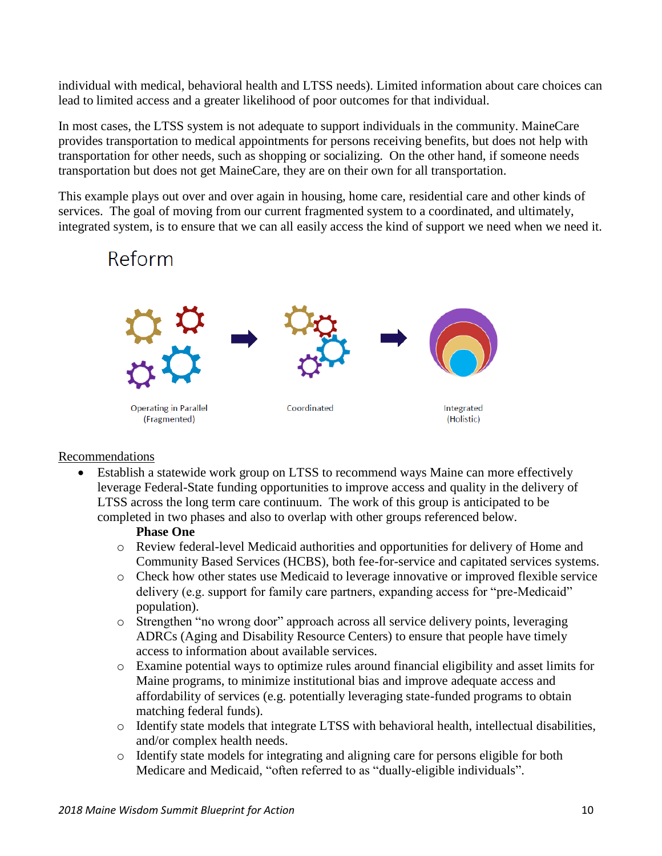individual with medical, behavioral health and LTSS needs). Limited information about care choices can lead to limited access and a greater likelihood of poor outcomes for that individual.

In most cases, the LTSS system is not adequate to support individuals in the community. MaineCare provides transportation to medical appointments for persons receiving benefits, but does not help with transportation for other needs, such as shopping or socializing. On the other hand, if someone needs transportation but does not get MaineCare, they are on their own for all transportation.

This example plays out over and over again in housing, home care, residential care and other kinds of services. The goal of moving from our current fragmented system to a coordinated, and ultimately, integrated system, is to ensure that we can all easily access the kind of support we need when we need it.

# Reform



## Recommendations

 Establish a statewide work group on LTSS to recommend ways Maine can more effectively leverage Federal-State funding opportunities to improve access and quality in the delivery of LTSS across the long term care continuum. The work of this group is anticipated to be completed in two phases and also to overlap with other groups referenced below.

## **Phase One**

- o Review federal-level Medicaid authorities and opportunities for delivery of Home and Community Based Services (HCBS), both fee-for-service and capitated services systems.
- o Check how other states use Medicaid to leverage innovative or improved flexible service delivery (e.g. support for family care partners, expanding access for "pre-Medicaid" population).
- o Strengthen "no wrong door" approach across all service delivery points, leveraging ADRCs (Aging and Disability Resource Centers) to ensure that people have timely access to information about available services.
- o Examine potential ways to optimize rules around financial eligibility and asset limits for Maine programs, to minimize institutional bias and improve adequate access and affordability of services (e.g. potentially leveraging state-funded programs to obtain matching federal funds).
- o Identify state models that integrate LTSS with behavioral health, intellectual disabilities, and/or complex health needs.
- o Identify state models for integrating and aligning care for persons eligible for both Medicare and Medicaid, "often referred to as "dually-eligible individuals".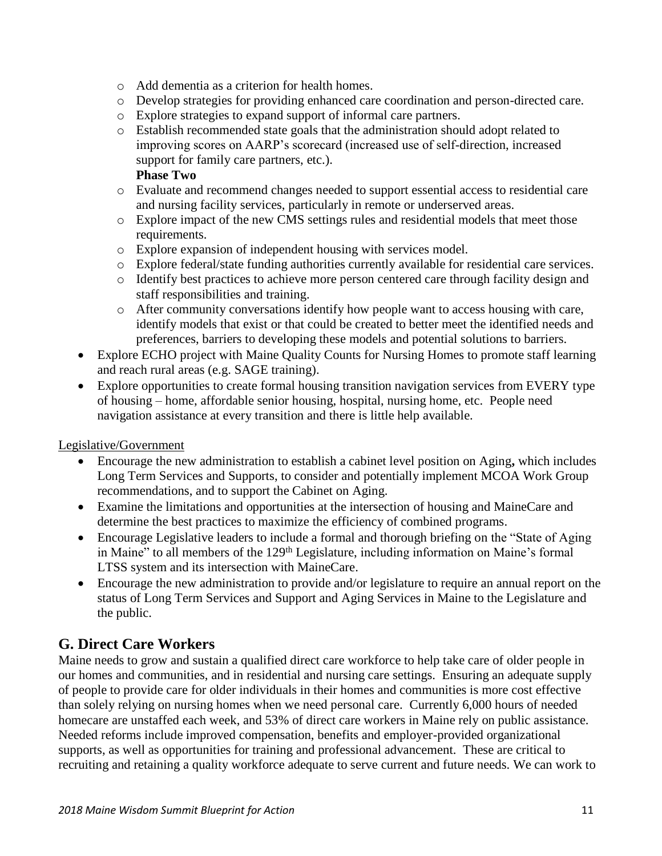- o Add dementia as a criterion for health homes.
- o Develop strategies for providing enhanced care coordination and person-directed care.
- o Explore strategies to expand support of informal care partners.
- o Establish recommended state goals that the administration should adopt related to improving scores on AARP's scorecard (increased use of self-direction, increased support for family care partners, etc.). **Phase Two**

## o Evaluate and recommend changes needed to support essential access to residential care and nursing facility services, particularly in remote or underserved areas.

- o Explore impact of the new CMS settings rules and residential models that meet those requirements.
- o Explore expansion of independent housing with services model.
- o Explore federal/state funding authorities currently available for residential care services.
- o Identify best practices to achieve more person centered care through facility design and staff responsibilities and training.
- o After community conversations identify how people want to access housing with care, identify models that exist or that could be created to better meet the identified needs and preferences, barriers to developing these models and potential solutions to barriers.
- Explore ECHO project with Maine Quality Counts for Nursing Homes to promote staff learning and reach rural areas (e.g. SAGE training).
- Explore opportunities to create formal housing transition navigation services from EVERY type of housing – home, affordable senior housing, hospital, nursing home, etc. People need navigation assistance at every transition and there is little help available.

## Legislative/Government

- Encourage the new administration to establish a cabinet level position on Aging**,** which includes Long Term Services and Supports, to consider and potentially implement MCOA Work Group recommendations, and to support the Cabinet on Aging.
- Examine the limitations and opportunities at the intersection of housing and MaineCare and determine the best practices to maximize the efficiency of combined programs.
- Encourage Legislative leaders to include a formal and thorough briefing on the "State of Aging in Maine" to all members of the 129<sup>th</sup> Legislature, including information on Maine's formal LTSS system and its intersection with MaineCare.
- Encourage the new administration to provide and/or legislature to require an annual report on the status of Long Term Services and Support and Aging Services in Maine to the Legislature and the public.

# **G. Direct Care Workers**

Maine needs to grow and sustain a qualified direct care workforce to help take care of older people in our homes and communities, and in residential and nursing care settings. Ensuring an adequate supply of people to provide care for older individuals in their homes and communities is more cost effective than solely relying on nursing homes when we need personal care. Currently 6,000 hours of needed homecare are unstaffed each week, and 53% of direct care workers in Maine rely on public assistance. Needed reforms include improved compensation, benefits and employer-provided organizational supports, as well as opportunities for training and professional advancement. These are critical to recruiting and retaining a quality workforce adequate to serve current and future needs. We can work to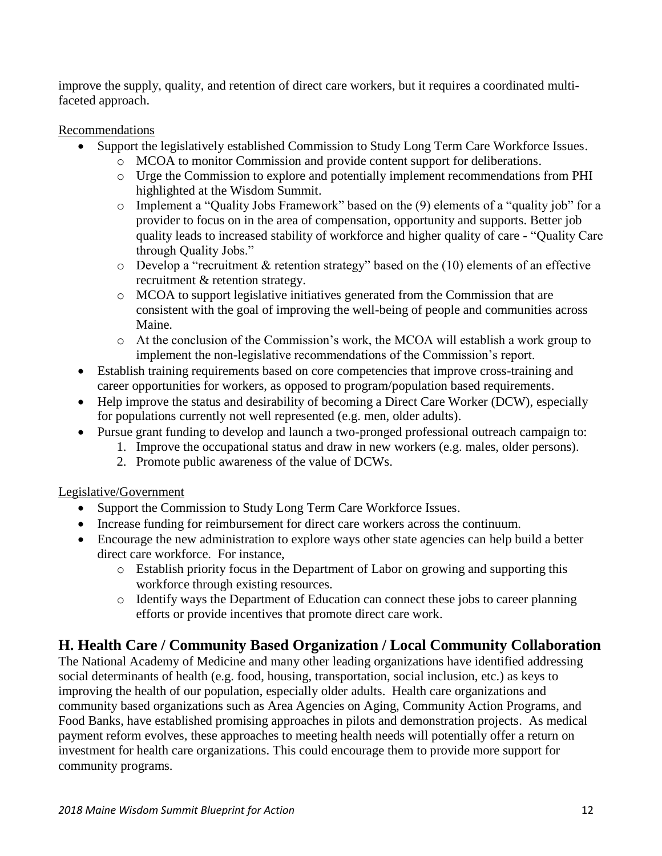improve the supply, quality, and retention of direct care workers, but it requires a coordinated multifaceted approach.

## **Recommendations**

- Support the legislatively established Commission to Study Long Term Care Workforce Issues.
	- o MCOA to monitor Commission and provide content support for deliberations.
	- o Urge the Commission to explore and potentially implement recommendations from PHI highlighted at the Wisdom Summit.
	- o Implement a "Quality Jobs Framework" based on the (9) elements of a "quality job" for a provider to focus on in the area of compensation, opportunity and supports. Better job quality leads to increased stability of workforce and higher quality of care - "Quality Care through Quality Jobs."
	- o Develop a "recruitment & retention strategy" based on the (10) elements of an effective recruitment & retention strategy.
	- o MCOA to support legislative initiatives generated from the Commission that are consistent with the goal of improving the well-being of people and communities across Maine.
	- o At the conclusion of the Commission's work, the MCOA will establish a work group to implement the non-legislative recommendations of the Commission's report.
- Establish training requirements based on core competencies that improve cross-training and career opportunities for workers, as opposed to program/population based requirements.
- Help improve the status and desirability of becoming a Direct Care Worker (DCW), especially for populations currently not well represented (e.g. men, older adults).
- Pursue grant funding to develop and launch a two-pronged professional outreach campaign to:
	- 1. Improve the occupational status and draw in new workers (e.g. males, older persons).
	- 2. Promote public awareness of the value of DCWs.

## Legislative/Government

- Support the Commission to Study Long Term Care Workforce Issues.
- Increase funding for reimbursement for direct care workers across the continuum.
- Encourage the new administration to explore ways other state agencies can help build a better direct care workforce. For instance,
	- o Establish priority focus in the Department of Labor on growing and supporting this workforce through existing resources.
	- o Identify ways the Department of Education can connect these jobs to career planning efforts or provide incentives that promote direct care work.

# **H. Health Care / Community Based Organization / Local Community Collaboration**

The National Academy of Medicine and many other leading organizations have identified addressing social determinants of health (e.g. food, housing, transportation, social inclusion, etc.) as keys to improving the health of our population, especially older adults. Health care organizations and community based organizations such as Area Agencies on Aging, Community Action Programs, and Food Banks, have established promising approaches in pilots and demonstration projects. As medical payment reform evolves, these approaches to meeting health needs will potentially offer a return on investment for health care organizations. This could encourage them to provide more support for community programs.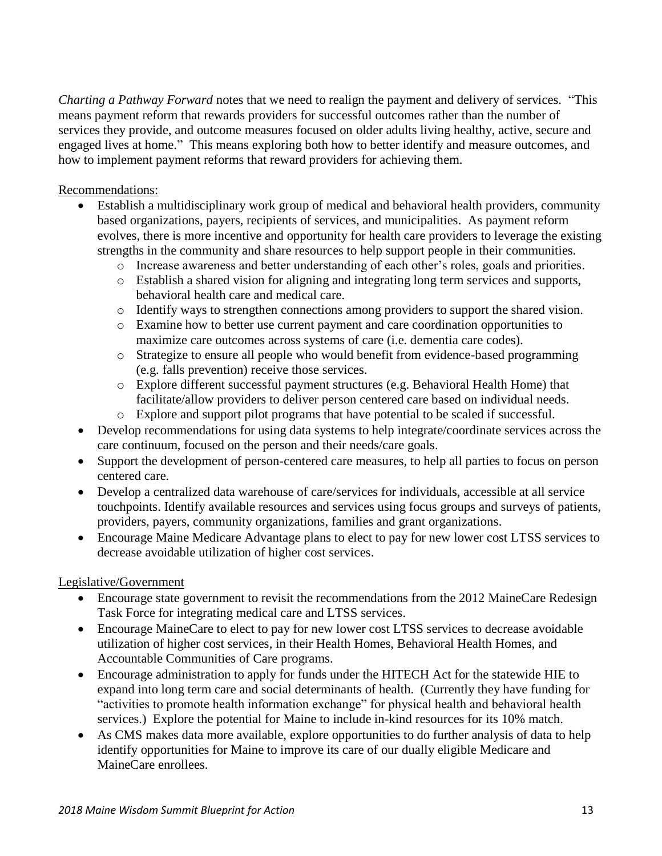*Charting a Pathway Forward* notes that we need to realign the payment and delivery of services. "This means payment reform that rewards providers for successful outcomes rather than the number of services they provide, and outcome measures focused on older adults living healthy, active, secure and engaged lives at home." This means exploring both how to better identify and measure outcomes, and how to implement payment reforms that reward providers for achieving them.

Recommendations:

- Establish a multidisciplinary work group of medical and behavioral health providers, community based organizations, payers, recipients of services, and municipalities. As payment reform evolves, there is more incentive and opportunity for health care providers to leverage the existing strengths in the community and share resources to help support people in their communities.
	- o Increase awareness and better understanding of each other's roles, goals and priorities.
	- o Establish a shared vision for aligning and integrating long term services and supports, behavioral health care and medical care.
	- o Identify ways to strengthen connections among providers to support the shared vision.
	- o Examine how to better use current payment and care coordination opportunities to maximize care outcomes across systems of care (i.e. dementia care codes).
	- o Strategize to ensure all people who would benefit from evidence-based programming (e.g. falls prevention) receive those services.
	- o Explore different successful payment structures (e.g. Behavioral Health Home) that facilitate/allow providers to deliver person centered care based on individual needs.
	- o Explore and support pilot programs that have potential to be scaled if successful.
- Develop recommendations for using data systems to help integrate/coordinate services across the care continuum, focused on the person and their needs/care goals.
- Support the development of person-centered care measures, to help all parties to focus on person centered care.
- Develop a centralized data warehouse of care/services for individuals, accessible at all service touchpoints. Identify available resources and services using focus groups and surveys of patients, providers, payers, community organizations, families and grant organizations.
- Encourage Maine Medicare Advantage plans to elect to pay for new lower cost LTSS services to decrease avoidable utilization of higher cost services.

Legislative/Government

- Encourage state government to revisit the recommendations from the 2012 MaineCare Redesign Task Force for integrating medical care and LTSS services.
- Encourage MaineCare to elect to pay for new lower cost LTSS services to decrease avoidable utilization of higher cost services, in their Health Homes, Behavioral Health Homes, and Accountable Communities of Care programs.
- Encourage administration to apply for funds under the HITECH Act for the statewide HIE to expand into long term care and social determinants of health. (Currently they have funding for "activities to promote health information exchange" for physical health and behavioral health services.) Explore the potential for Maine to include in-kind resources for its 10% match.
- As CMS makes data more available, explore opportunities to do further analysis of data to help identify opportunities for Maine to improve its care of our dually eligible Medicare and MaineCare enrollees.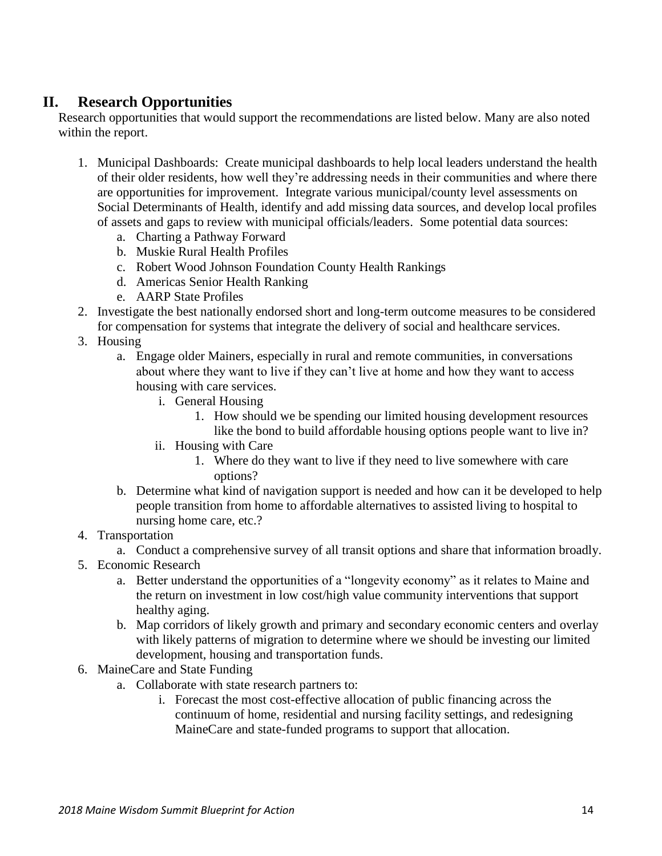# **II. Research Opportunities**

Research opportunities that would support the recommendations are listed below. Many are also noted within the report.

- 1. Municipal Dashboards: Create municipal dashboards to help local leaders understand the health of their older residents, how well they're addressing needs in their communities and where there are opportunities for improvement. Integrate various municipal/county level assessments on Social Determinants of Health, identify and add missing data sources, and develop local profiles of assets and gaps to review with municipal officials/leaders. Some potential data sources:
	- a. Charting a Pathway Forward
	- b. Muskie Rural Health Profiles
	- c. Robert Wood Johnson Foundation County Health Rankings
	- d. Americas Senior Health Ranking
	- e. AARP State Profiles
- 2. Investigate the best nationally endorsed short and long-term outcome measures to be considered for compensation for systems that integrate the delivery of social and healthcare services.
- 3. Housing
	- a. Engage older Mainers, especially in rural and remote communities, in conversations about where they want to live if they can't live at home and how they want to access housing with care services.
		- i. General Housing
			- 1. How should we be spending our limited housing development resources like the bond to build affordable housing options people want to live in?
		- ii. Housing with Care
			- 1. Where do they want to live if they need to live somewhere with care options?
	- b. Determine what kind of navigation support is needed and how can it be developed to help people transition from home to affordable alternatives to assisted living to hospital to nursing home care, etc.?
- 4. Transportation
	- a. Conduct a comprehensive survey of all transit options and share that information broadly.
- 5. Economic Research
	- a. Better understand the opportunities of a "longevity economy" as it relates to Maine and the return on investment in low cost/high value community interventions that support healthy aging.
	- b. Map corridors of likely growth and primary and secondary economic centers and overlay with likely patterns of migration to determine where we should be investing our limited development, housing and transportation funds.
- 6. MaineCare and State Funding
	- a. Collaborate with state research partners to:
		- i. Forecast the most cost-effective allocation of public financing across the continuum of home, residential and nursing facility settings, and redesigning MaineCare and state-funded programs to support that allocation.